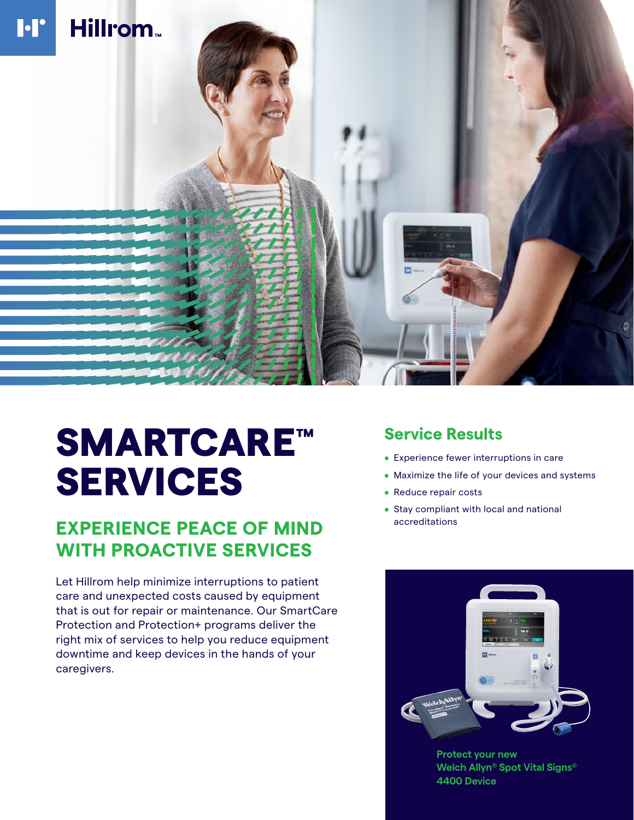

# SMARTCARE™ SERVICES

## **EXPERIENCE PEACE OF MIND accreditations WITH PROACTIVE SERVICES**

Let Hillrom help minimize interruptions to patient care and unexpected costs caused by equipment that is out for repair or maintenance. Our SmartCare Protection and Protection+ programs deliver the right mix of services to help you reduce equipment downtime and keep devices in the hands of your caregivers.

### **Service Results**

- Experience fewer interruptions in care
- Maximize the life of your devices and systems
- Reduce repair costs
- Stay compliant with local and national



**Protect your new Welch Allyn® Spot Vital Signs® 4400 Device**